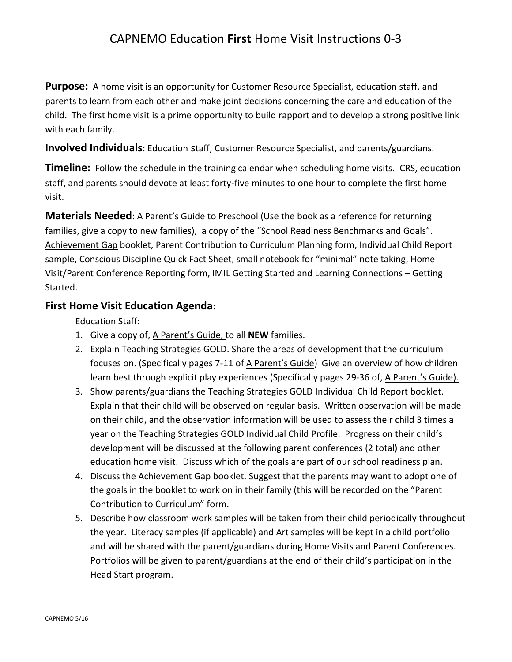## CAPNEMO Education **First** Home Visit Instructions 0-3

**Purpose:** A home visit is an opportunity for Customer Resource Specialist, education staff, and parents to learn from each other and make joint decisions concerning the care and education of the child. The first home visit is a prime opportunity to build rapport and to develop a strong positive link with each family.

**Involved Individuals**: Education Staff, Customer Resource Specialist, and parents/guardians.

**Timeline:** Follow the schedule in the training calendar when scheduling home visits. CRS, education staff, and parents should devote at least forty-five minutes to one hour to complete the first home visit.

**Materials Needed**: A Parent's Guide to Preschool (Use the book as a reference for returning families, give a copy to new families), a copy of the "School Readiness Benchmarks and Goals". Achievement Gap booklet, Parent Contribution to Curriculum Planning form, Individual Child Report sample, Conscious Discipline Quick Fact Sheet, small notebook for "minimal" note taking, Home Visit/Parent Conference Reporting form, IMIL Getting Started and Learning Connections – Getting Started.

## **First Home Visit Education Agenda**:

Education Staff:

- 1. Give a copy of, A Parent's Guide, to all **NEW** families.
- 2. Explain Teaching Strategies GOLD. Share the areas of development that the curriculum focuses on. (Specifically pages 7-11 of A Parent's Guide) Give an overview of how children learn best through explicit play experiences (Specifically pages 29-36 of, A Parent's Guide).
- 3. Show parents/guardians the Teaching Strategies GOLD Individual Child Report booklet. Explain that their child will be observed on regular basis. Written observation will be made on their child, and the observation information will be used to assess their child 3 times a year on the Teaching Strategies GOLD Individual Child Profile. Progress on their child's development will be discussed at the following parent conferences (2 total) and other education home visit. Discuss which of the goals are part of our school readiness plan.
- 4. Discuss the Achievement Gap booklet. Suggest that the parents may want to adopt one of the goals in the booklet to work on in their family (this will be recorded on the "Parent Contribution to Curriculum" form.
- 5. Describe how classroom work samples will be taken from their child periodically throughout the year. Literacy samples (if applicable) and Art samples will be kept in a child portfolio and will be shared with the parent/guardians during Home Visits and Parent Conferences. Portfolios will be given to parent/guardians at the end of their child's participation in the Head Start program.